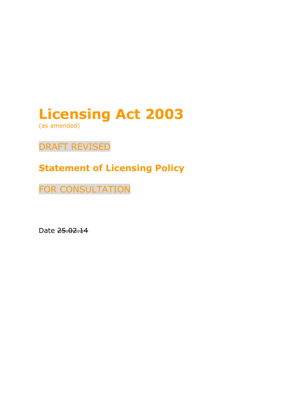# Licensing Act 2003

(as amended)

### DRAFT REVISED

## Statement of Licensing Policy

FOR CONSULTATION

Date 25.02.14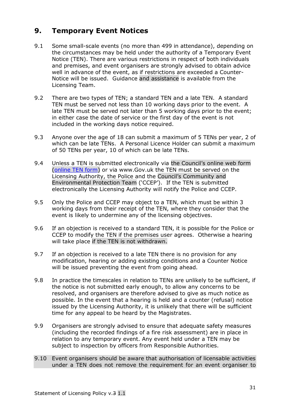#### 9. Temporary Event Notices

- 9.1 Some small-scale events (no more than 499 in attendance), depending on the circumstances may be held under the authority of a Temporary Event Notice (TEN). There are various restrictions in respect of both individuals and premises, and event organisers are strongly advised to obtain advice well in advance of the event, as if restrictions are exceeded a Counter-Notice will be issued. Guidance and assistance is available from the Licensing Team.
- 9.2 There are two types of TEN; a standard TEN and a late TEN. A standard TEN must be served not less than 10 working days prior to the event. A late TEN must be served not later than 5 working days prior to the event; in either case the date of service or the first day of the event is not included in the working days notice required.
- 9.3 Anyone over the age of 18 can submit a maximum of 5 TENs per year, 2 of which can be late TENs. A Personal Licence Holder can submit a maximum of 50 TENs per year, 10 of which can be late TENs.
- 9.4 Unless a TEN is submitted electronically via the Council's online web form (online TEN form) or via www.Gov.uk the TEN must be served on the Licensing Authority, the Police and the Council's Community and Environmental Protection Team ('CCEP'). If the TEN is submitted electronically the Licensing Authority will notify the Police and CCEP.
- 9.5 Only the Police and CCEP may object to a TEN, which must be within 3 working days from their receipt of the TEN, where they consider that the event is likely to undermine any of the licensing objectives.
- 9.6 If an objection is received to a standard TEN, it is possible for the Police or CCEP to modify the TEN if the premises user agrees. Otherwise a hearing will take place if the TEN is not withdrawn.
- 9.7 If an objection is received to a late TEN there is no provision for any modification, hearing or adding existing conditions and a Counter Notice will be issued preventing the event from going ahead.
- 9.8 In practice the timescales in relation to TENs are unlikely to be sufficient, if the notice is not submitted early enough, to allow any concerns to be resolved, and organisers are therefore advised to give as much notice as possible. In the event that a hearing is held and a counter (refusal) notice issued by the Licensing Authority, it is unlikely that there will be sufficient time for any appeal to be heard by the Magistrates.
- 9.9 Organisers are strongly advised to ensure that adequate safety measures (including the recorded findings of a fire risk assessment) are in place in relation to any temporary event. Any event held under a TEN may be subject to inspection by officers from Responsible Authorities.
- 9.10 Event organisers should be aware that authorisation of licensable activities under a TEN does not remove the requirement for an event organiser to